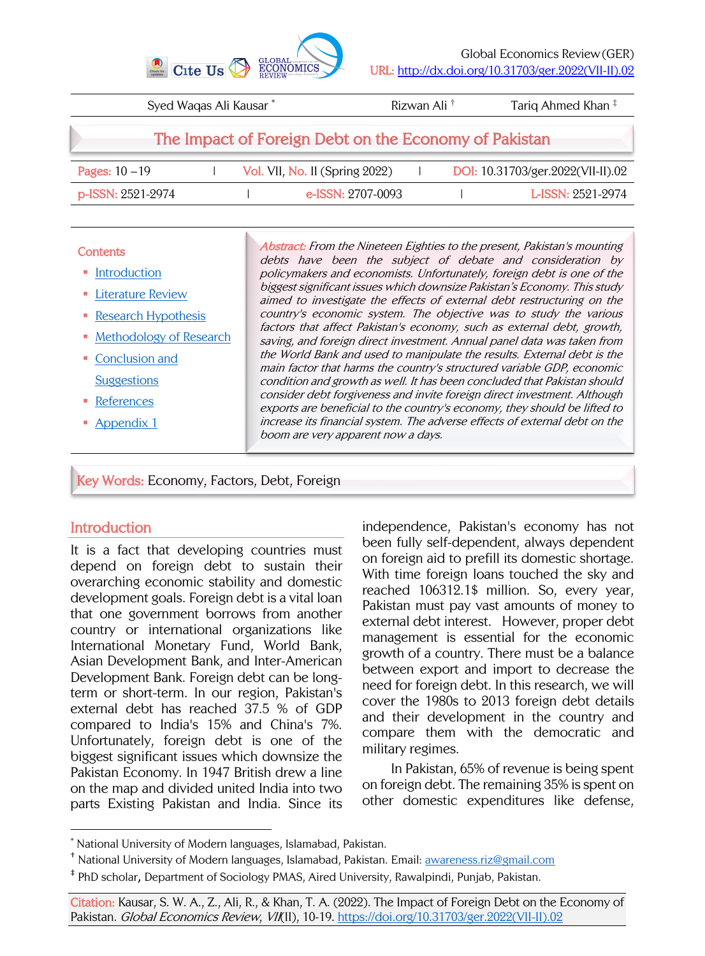

| Syed Waqas Ali Kausar*                                |  |  |                                | Rizwan Ali <sup>†</sup> |  | Tariq Ahmed Khan <sup>‡</sup>     |  |
|-------------------------------------------------------|--|--|--------------------------------|-------------------------|--|-----------------------------------|--|
| The Impact of Foreign Debt on the Economy of Pakistan |  |  |                                |                         |  |                                   |  |
| <b>Pages:</b> $10 - 19$                               |  |  | Vol. VII, No. II (Spring 2022) |                         |  | DOI: 10.31703/ger.2022(VII-II).02 |  |
| $p$ -ISSN: 2521-2974                                  |  |  | e-ISSN: 2707-0093              |                         |  | L-ISSN: 2521-2974                 |  |
|                                                       |  |  |                                |                         |  |                                   |  |

#### **Contents**

- Introduction
- Literature Review
- Research Hypothesis
- Methodology of Research
- Conclusion and **Suggestions**
- References
- § Appendix 1

Abstract: From the Nineteen Eighties to the present, Pakistan's mounting debts have been the subject of debate and consideration by policymakers and economists. Unfortunately, foreign debt is one of the biggest significant issues which downsize Pakistan's Economy. This study aimed to investigate the effects of external debt restructuring on the country's economic system. The objective was to study the various factors that affect Pakistan's economy, such as external debt, growth, saving, and foreign direct investment. Annual panel data was taken from the World Bank and used to manipulate the results. External debt is the main factor that harms the country's structured variable GDP, economic condition and growth as well. It has been concluded that Pakistan should consider debt forgiveness and invite foreign direct investment. Although exports are beneficial to the country's economy, they should be lifted to increase its financial system. The adverse effects of external debt on the boom are very apparent now a days.

Key Words: Economy, Factors, Debt, Foreign

## **Introduction**

It is a fact that developing countries must depend on foreign debt to sustain their overarching economic stability and domestic development goals. Foreign debt is a vital loan that one government borrows from another country or international organizations like International Monetary Fund, World Bank, Asian Development Bank, and Inter-American Development Bank. Foreign debt can be longterm or short-term. In our region, Pakistan's external debt has reached 37.5 % of GDP compared to India's 15% and China's 7%. Unfortunately, foreign debt is one of the biggest significant issues which downsize the Pakistan Economy. In 1947 British drew a line on the map and divided united India into two parts Existing Pakistan and India. Since its independence, Pakistan's economy has not been fully self-dependent, always dependent on foreign aid to prefill its domestic shortage. With time foreign loans touched the sky and reached 106312.1\$ million. So, every year, Pakistan must pay vast amounts of money to external debt interest. However, proper debt management is essential for the economic growth of a country. There must be a balance between export and import to decrease the need for foreign debt. In this research, we will cover the 1980s to 2013 foreign debt details and their development in the country and compare them with the democratic and military regimes.

In Pakistan, 65% of revenue is being spent on foreign debt. The remaining 35% is spent on other domestic expenditures like defense,

<sup>\*</sup> National University of Modern languages, Islamabad, Pakistan.

 $^\dagger$  National University of Modern languages, Islamabad, Pakistan. Email: awareness.riz@gmail.com

<sup>‡</sup> PhD scholar, Department of Sociology PMAS, Aired University, Rawalpindi, Punjab, Pakistan.

Citation: Kausar, S. W. A., Z., Ali, R., & Khan, T. A. (2022). The Impact of Foreign Debt on the Economy of Pakistan. Global Economics Review, VII(II), 10-19. https://doi.org/10.31703/ger.2022(VII-II).02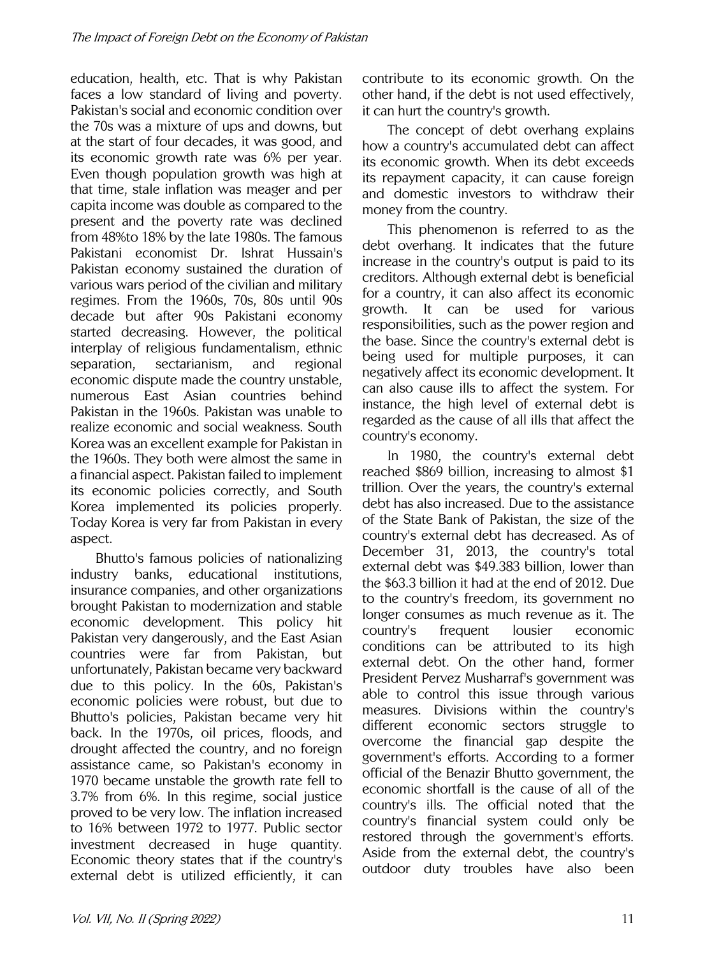education, health, etc. That is why Pakistan faces a low standard of living and poverty. Pakistan's social and economic condition over the 70s was a mixture of ups and downs, but at the start of four decades, it was good, and its economic growth rate was 6% per year. Even though population growth was high at that time, stale inflation was meager and per capita income was double as compared to the present and the poverty rate was declined from 48%to 18% by the late 1980s. The famous Pakistani economist Dr. Ishrat Hussain's Pakistan economy sustained the duration of various wars period of the civilian and military regimes. From the 1960s, 70s, 80s until 90s decade but after 90s Pakistani economy started decreasing. However, the political interplay of religious fundamentalism, ethnic separation, sectarianism, and regional economic dispute made the country unstable, numerous East Asian countries behind Pakistan in the 1960s. Pakistan was unable to realize economic and social weakness. South Korea was an excellent example for Pakistan in the 1960s. They both were almost the same in a financial aspect. Pakistan failed to implement its economic policies correctly, and South Korea implemented its policies properly. Today Korea is very far from Pakistan in every aspect.

Bhutto's famous policies of nationalizing industry banks, educational institutions, insurance companies, and other organizations brought Pakistan to modernization and stable economic development. This policy hit Pakistan very dangerously, and the East Asian countries were far from Pakistan, but unfortunately, Pakistan became very backward due to this policy. In the 60s, Pakistan's economic policies were robust, but due to Bhutto's policies, Pakistan became very hit back. In the 1970s, oil prices, floods, and drought affected the country, and no foreign assistance came, so Pakistan's economy in 1970 became unstable the growth rate fell to 3.7% from 6%. In this regime, social justice proved to be very low. The inflation increased to 16% between 1972 to 1977. Public sector investment decreased in huge quantity. Economic theory states that if the country's external debt is utilized efficiently, it can contribute to its economic growth. On the other hand, if the debt is not used effectively, it can hurt the country's growth.

The concept of debt overhang explains how a country's accumulated debt can affect its economic growth. When its debt exceeds its repayment capacity, it can cause foreign and domestic investors to withdraw their money from the country.

This phenomenon is referred to as the debt overhang. It indicates that the future increase in the country's output is paid to its creditors. Although external debt is beneficial for a country, it can also affect its economic growth. It can be used for various responsibilities, such as the power region and the base. Since the country's external debt is being used for multiple purposes, it can negatively affect its economic development. It can also cause ills to affect the system. For instance, the high level of external debt is regarded as the cause of all ills that affect the country's economy.

In 1980, the country's external debt reached \$869 billion, increasing to almost \$1 trillion. Over the years, the country's external debt has also increased. Due to the assistance of the State Bank of Pakistan, the size of the country's external debt has decreased. As of December 31, 2013, the country's total external debt was \$49.383 billion, lower than the \$63.3 billion it had at the end of 2012. Due to the country's freedom, its government no longer consumes as much revenue as it. The country's frequent lousier economic conditions can be attributed to its high external debt. On the other hand, former President Pervez Musharraf's government was able to control this issue through various measures. Divisions within the country's different economic sectors struggle to overcome the financial gap despite the government's efforts. According to a former official of the Benazir Bhutto government, the economic shortfall is the cause of all of the country's ills. The official noted that the country's financial system could only be restored through the government's efforts. Aside from the external debt, the country's outdoor duty troubles have also been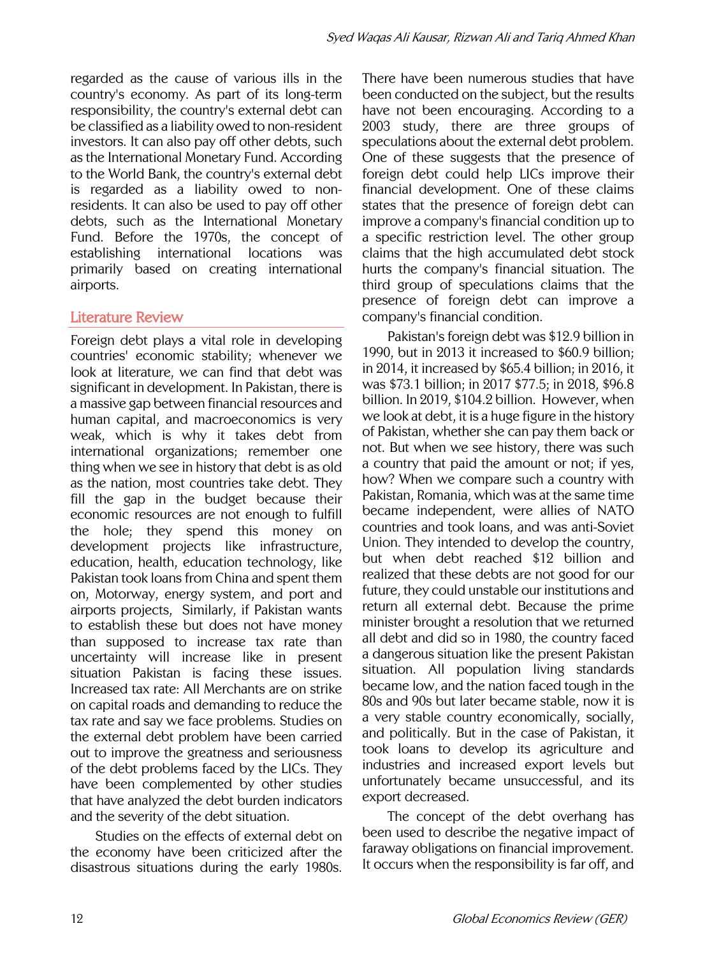regarded as the cause of various ills in the country's economy. As part of its long-term responsibility, the country's external debt can be classified as a liability owed to non-resident investors. It can also pay off other debts, such as the International Monetary Fund. According to the World Bank, the country's external debt is regarded as a liability owed to nonresidents. It can also be used to pay off other debts, such as the International Monetary Fund. Before the 1970s, the concept of establishing international locations was primarily based on creating international airports.

# Literature Review

Foreign debt plays a vital role in developing countries' economic stability; whenever we look at literature, we can find that debt was significant in development. In Pakistan, there is a massive gap between financial resources and human capital, and macroeconomics is very weak, which is why it takes debt from international organizations; remember one thing when we see in history that debt is as old as the nation, most countries take debt. They fill the gap in the budget because their economic resources are not enough to fulfill the hole; they spend this money on development projects like infrastructure, education, health, education technology, like Pakistan took loans from China and spent them on, Motorway, energy system, and port and airports projects, Similarly, if Pakistan wants to establish these but does not have money than supposed to increase tax rate than uncertainty will increase like in present situation Pakistan is facing these issues. Increased tax rate: All Merchants are on strike on capital roads and demanding to reduce the tax rate and say we face problems. Studies on the external debt problem have been carried out to improve the greatness and seriousness of the debt problems faced by the LICs. They have been complemented by other studies that have analyzed the debt burden indicators and the severity of the debt situation.

Studies on the effects of external debt on the economy have been criticized after the disastrous situations during the early 1980s.

There have been numerous studies that have been conducted on the subject, but the results have not been encouraging. According to a 2003 study, there are three groups of speculations about the external debt problem. One of these suggests that the presence of foreign debt could help LICs improve their financial development. One of these claims states that the presence of foreign debt can improve a company's financial condition up to a specific restriction level. The other group claims that the high accumulated debt stock hurts the company's financial situation. The third group of speculations claims that the presence of foreign debt can improve a company's financial condition.

Pakistan's foreign debt was \$12.9 billion in 1990, but in 2013 it increased to \$60.9 billion; in 2014, it increased by \$65.4 billion; in 2016, it was \$73.1 billion; in 2017 \$77.5; in 2018, \$96.8 billion. In 2019, \$104.2 billion. However, when we look at debt, it is a huge figure in the history of Pakistan, whether she can pay them back or not. But when we see history, there was such a country that paid the amount or not; if yes, how? When we compare such a country with Pakistan, Romania, which was at the same time became independent, were allies of NATO countries and took loans, and was anti-Soviet Union. They intended to develop the country, but when debt reached \$12 billion and realized that these debts are not good for our future, they could unstable our institutions and return all external debt. Because the prime minister brought a resolution that we returned all debt and did so in 1980, the country faced a dangerous situation like the present Pakistan situation. All population living standards became low, and the nation faced tough in the 80s and 90s but later became stable, now it is a very stable country economically, socially, and politically. But in the case of Pakistan, it took loans to develop its agriculture and industries and increased export levels but unfortunately became unsuccessful, and its export decreased.

The concept of the debt overhang has been used to describe the negative impact of faraway obligations on financial improvement. It occurs when the responsibility is far off, and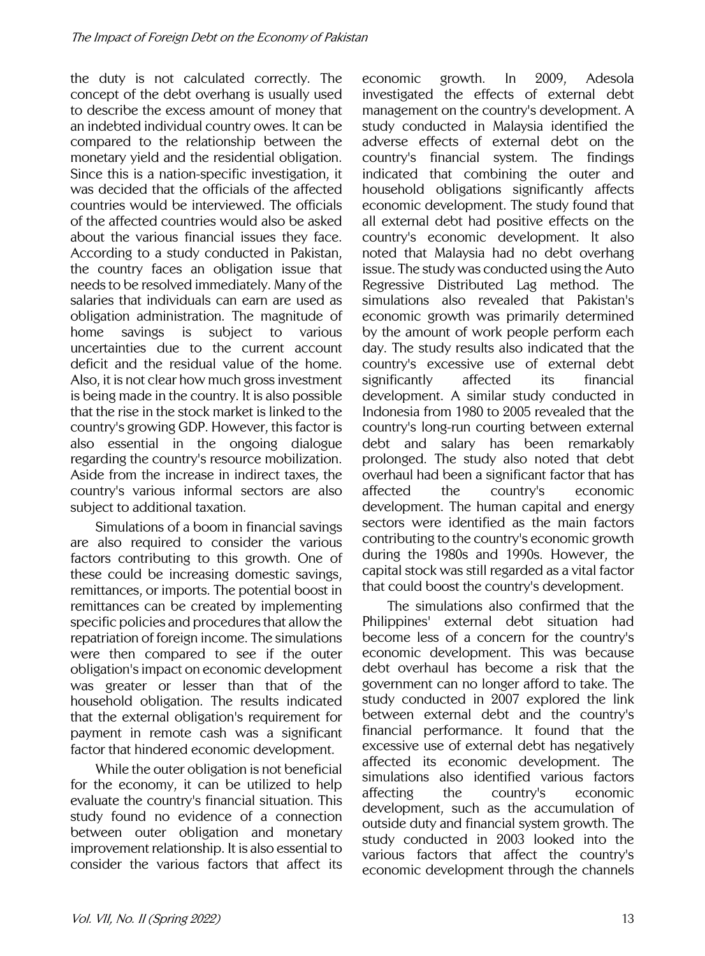the duty is not calculated correctly. The concept of the debt overhang is usually used to describe the excess amount of money that an indebted individual country owes. It can be compared to the relationship between the monetary yield and the residential obligation. Since this is a nation-specific investigation, it was decided that the officials of the affected countries would be interviewed. The officials of the affected countries would also be asked about the various financial issues they face. According to a study conducted in Pakistan, the country faces an obligation issue that needs to be resolved immediately. Many of the salaries that individuals can earn are used as obligation administration. The magnitude of home savings is subject to various uncertainties due to the current account deficit and the residual value of the home. Also, it is not clear how much gross investment is being made in the country. It is also possible that the rise in the stock market is linked to the country's growing GDP. However, this factor is also essential in the ongoing dialogue regarding the country's resource mobilization. Aside from the increase in indirect taxes, the country's various informal sectors are also subject to additional taxation.

Simulations of a boom in financial savings are also required to consider the various factors contributing to this growth. One of these could be increasing domestic savings, remittances, or imports. The potential boost in remittances can be created by implementing specific policies and procedures that allow the repatriation of foreign income. The simulations were then compared to see if the outer obligation's impact on economic development was greater or lesser than that of the household obligation. The results indicated that the external obligation's requirement for payment in remote cash was a significant factor that hindered economic development.

While the outer obligation is not beneficial for the economy, it can be utilized to help evaluate the country's financial situation. This study found no evidence of a connection between outer obligation and monetary improvement relationship. It is also essential to consider the various factors that affect its economic growth. In 2009, Adesola investigated the effects of external debt management on the country's development. A study conducted in Malaysia identified the adverse effects of external debt on the country's financial system. The findings indicated that combining the outer and household obligations significantly affects economic development. The study found that all external debt had positive effects on the country's economic development. It also noted that Malaysia had no debt overhang issue. The study was conducted using the Auto Regressive Distributed Lag method. The simulations also revealed that Pakistan's economic growth was primarily determined by the amount of work people perform each day. The study results also indicated that the country's excessive use of external debt significantly affected its financial development. A similar study conducted in Indonesia from 1980 to 2005 revealed that the country's long-run courting between external debt and salary has been remarkably prolonged. The study also noted that debt overhaul had been a significant factor that has affected the country's economic development. The human capital and energy sectors were identified as the main factors contributing to the country's economic growth during the 1980s and 1990s. However, the capital stock was still regarded as a vital factor that could boost the country's development.

The simulations also confirmed that the Philippines' external debt situation had become less of a concern for the country's economic development. This was because debt overhaul has become a risk that the government can no longer afford to take. The study conducted in 2007 explored the link between external debt and the country's financial performance. It found that the excessive use of external debt has negatively affected its economic development. The simulations also identified various factors affecting the country's economic development, such as the accumulation of outside duty and financial system growth. The study conducted in 2003 looked into the various factors that affect the country's economic development through the channels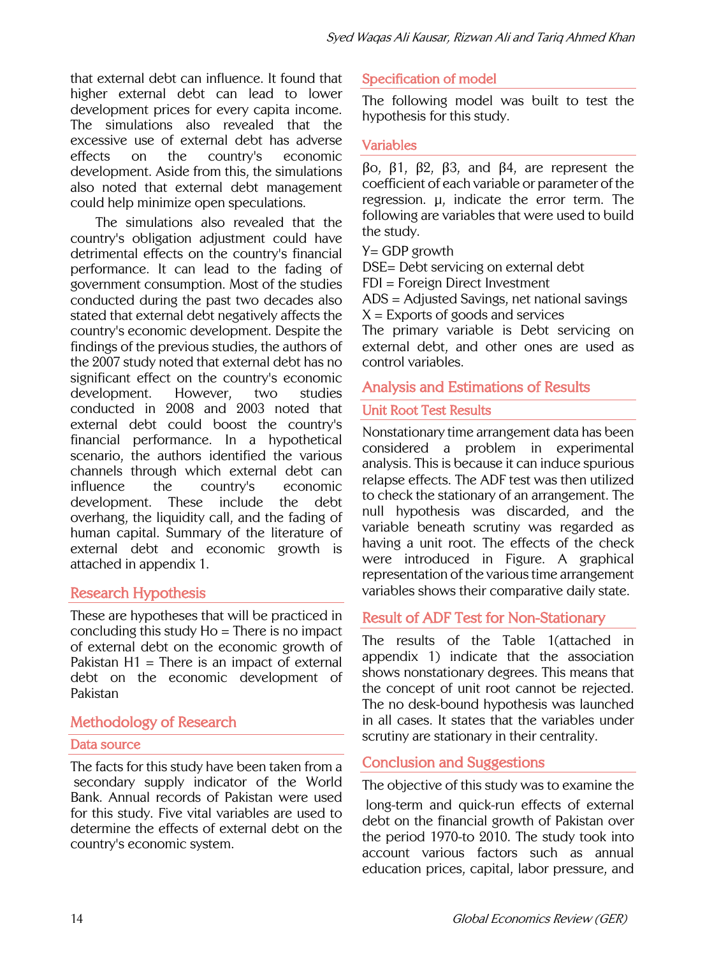that external debt can influence. It found that higher external debt can lead to lower development prices for every capita income. The simulations also revealed that the excessive use of external debt has adverse effects on the country's economic development. Aside from this, the simulations also noted that external debt management could help minimize open speculations.

The simulations also revealed that the country's obligation adjustment could have detrimental effects on the country's financial performance. It can lead to the fading of government consumption. Most of the studies conducted during the past two decades also stated that external debt negatively affects the country's economic development. Despite the findings of the previous studies, the authors of the 2007 study noted that external debt has no significant effect on the country's economic development. However, two studies conducted in 2008 and 2003 noted that external debt could boost the country's financial performance. In a hypothetical scenario, the authors identified the various channels through which external debt can influence the country's economic development. These include the debt overhang, the liquidity call, and the fading of human capital. Summary of the literature of external debt and economic growth is attached in appendix 1.

# Research Hypothesis

These are hypotheses that will be practiced in concluding this study Ho = There is no impact of external debt on the economic growth of Pakistan  $H1 =$ There is an impact of external debt on the economic development of Pakistan

## Methodology of Research

#### Data source

The facts for this study have been taken from a secondary supply indicator of the World Bank. Annual records of Pakistan were used for this study. Five vital variables are used to determine the effects of external debt on the country's economic system.

## Specification of model

The following model was built to test the hypothesis for this study.

#### Variables

βo, β1, β2, β3, and β4, are represent the coefficient of each variable or parameter of the regression. µ, indicate the error term. The following are variables that were used to build the study.

 $Y = GDP$  growth

DSE= Debt servicing on external debt

FDI = Foreign Direct Investment

ADS = Adjusted Savings, net national savings  $X =$  Exports of goods and services

The primary variable is Debt servicing on external debt, and other ones are used as control variables.

## Analysis and Estimations of Results

#### Unit Root Test Results

Nonstationary time arrangement data has been considered a problem in experimental analysis. This is because it can induce spurious relapse effects. The ADF test was then utilized to check the stationary of an arrangement. The null hypothesis was discarded, and the variable beneath scrutiny was regarded as having a unit root. The effects of the check were introduced in Figure. A graphical representation of the various time arrangement variables shows their comparative daily state.

## Result of ADF Test for Non-Stationary

The results of the Table 1(attached in appendix 1) indicate that the association shows nonstationary degrees. This means that the concept of unit root cannot be rejected. The no desk-bound hypothesis was launched in all cases. It states that the variables under scrutiny are stationary in their centrality.

## Conclusion and Suggestions

The objective of this study was to examine the long-term and quick-run effects of external debt on the financial growth of Pakistan over the period 1970-to 2010. The study took into account various factors such as annual education prices, capital, labor pressure, and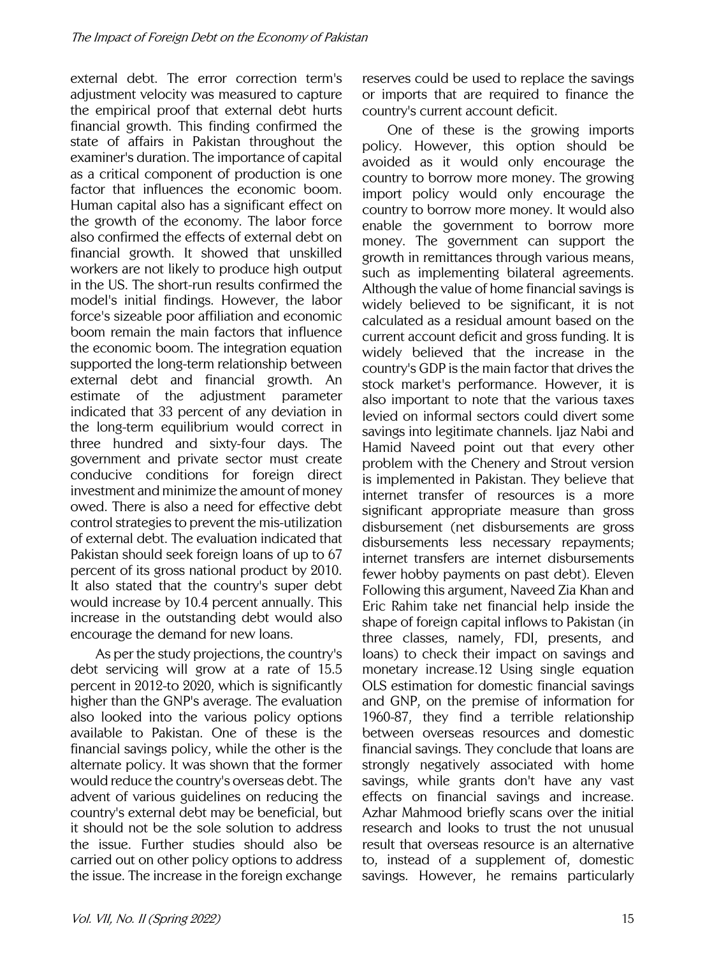external debt. The error correction term's adjustment velocity was measured to capture the empirical proof that external debt hurts financial growth. This finding confirmed the state of affairs in Pakistan throughout the examiner's duration. The importance of capital as a critical component of production is one factor that influences the economic boom. Human capital also has a significant effect on the growth of the economy. The labor force also confirmed the effects of external debt on financial growth. It showed that unskilled workers are not likely to produce high output in the US. The short-run results confirmed the model's initial findings. However, the labor force's sizeable poor affiliation and economic boom remain the main factors that influence the economic boom. The integration equation supported the long-term relationship between external debt and financial growth. An estimate of the adjustment parameter indicated that 33 percent of any deviation in the long-term equilibrium would correct in three hundred and sixty-four days. The government and private sector must create conducive conditions for foreign direct investment and minimize the amount of money owed. There is also a need for effective debt control strategies to prevent the mis-utilization of external debt. The evaluation indicated that Pakistan should seek foreign loans of up to 67 percent of its gross national product by 2010. It also stated that the country's super debt would increase by 10.4 percent annually. This increase in the outstanding debt would also encourage the demand for new loans.

As per the study projections, the country's debt servicing will grow at a rate of 15.5 percent in 2012-to 2020, which is significantly higher than the GNP's average. The evaluation also looked into the various policy options available to Pakistan. One of these is the financial savings policy, while the other is the alternate policy. It was shown that the former would reduce the country's overseas debt. The advent of various guidelines on reducing the country's external debt may be beneficial, but it should not be the sole solution to address the issue. Further studies should also be carried out on other policy options to address the issue. The increase in the foreign exchange reserves could be used to replace the savings or imports that are required to finance the country's current account deficit.

One of these is the growing imports policy. However, this option should be avoided as it would only encourage the country to borrow more money. The growing import policy would only encourage the country to borrow more money. It would also enable the government to borrow more money. The government can support the growth in remittances through various means, such as implementing bilateral agreements. Although the value of home financial savings is widely believed to be significant, it is not calculated as a residual amount based on the current account deficit and gross funding. It is widely believed that the increase in the country's GDP is the main factor that drives the stock market's performance. However, it is also important to note that the various taxes levied on informal sectors could divert some savings into legitimate channels. Ijaz Nabi and Hamid Naveed point out that every other problem with the Chenery and Strout version is implemented in Pakistan. They believe that internet transfer of resources is a more significant appropriate measure than gross disbursement (net disbursements are gross disbursements less necessary repayments; internet transfers are internet disbursements fewer hobby payments on past debt). Eleven Following this argument, Naveed Zia Khan and Eric Rahim take net financial help inside the shape of foreign capital inflows to Pakistan (in three classes, namely, FDI, presents, and loans) to check their impact on savings and monetary increase.12 Using single equation OLS estimation for domestic financial savings and GNP, on the premise of information for 1960-87, they find a terrible relationship between overseas resources and domestic financial savings. They conclude that loans are strongly negatively associated with home savings, while grants don't have any vast effects on financial savings and increase. Azhar Mahmood briefly scans over the initial research and looks to trust the not unusual result that overseas resource is an alternative to, instead of a supplement of, domestic savings. However, he remains particularly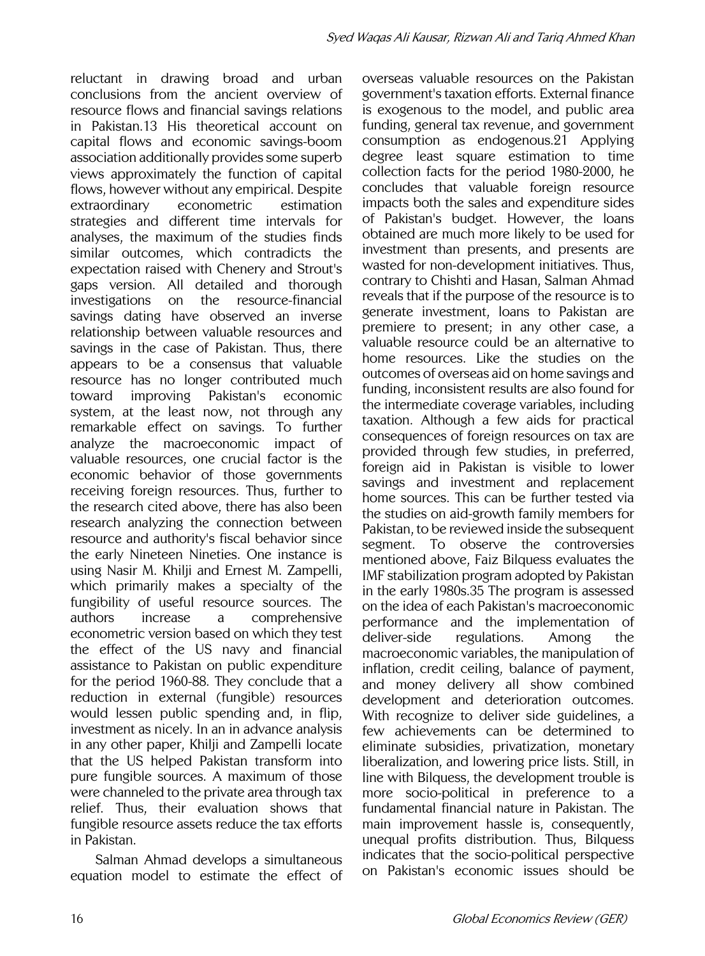reluctant in drawing broad and urban conclusions from the ancient overview of resource flows and financial savings relations in Pakistan.13 His theoretical account on capital flows and economic savings-boom association additionally provides some superb views approximately the function of capital flows, however without any empirical. Despite extraordinary econometric estimation strategies and different time intervals for analyses, the maximum of the studies finds similar outcomes, which contradicts the expectation raised with Chenery and Strout's gaps version. All detailed and thorough investigations on the resource-financial savings dating have observed an inverse relationship between valuable resources and savings in the case of Pakistan. Thus, there appears to be a consensus that valuable resource has no longer contributed much toward improving Pakistan's economic system, at the least now, not through any remarkable effect on savings. To further analyze the macroeconomic impact of valuable resources, one crucial factor is the economic behavior of those governments receiving foreign resources. Thus, further to the research cited above, there has also been research analyzing the connection between resource and authority's fiscal behavior since the early Nineteen Nineties. One instance is using Nasir M. Khilji and Ernest M. Zampelli, which primarily makes a specialty of the fungibility of useful resource sources. The authors increase a comprehensive econometric version based on which they test the effect of the US navy and financial assistance to Pakistan on public expenditure for the period 1960-88. They conclude that a reduction in external (fungible) resources would lessen public spending and, in flip, investment as nicely. In an in advance analysis in any other paper, Khilji and Zampelli locate that the US helped Pakistan transform into pure fungible sources. A maximum of those were channeled to the private area through tax relief. Thus, their evaluation shows that fungible resource assets reduce the tax efforts in Pakistan.

Salman Ahmad develops a simultaneous equation model to estimate the effect of overseas valuable resources on the Pakistan government's taxation efforts. External finance is exogenous to the model, and public area funding, general tax revenue, and government consumption as endogenous.21 Applying degree least square estimation to time collection facts for the period 1980-2000, he concludes that valuable foreign resource impacts both the sales and expenditure sides of Pakistan's budget. However, the loans obtained are much more likely to be used for investment than presents, and presents are wasted for non-development initiatives. Thus, contrary to Chishti and Hasan, Salman Ahmad reveals that if the purpose of the resource is to generate investment, loans to Pakistan are premiere to present; in any other case, a valuable resource could be an alternative to home resources. Like the studies on the outcomes of overseas aid on home savings and funding, inconsistent results are also found for the intermediate coverage variables, including taxation. Although a few aids for practical consequences of foreign resources on tax are provided through few studies, in preferred, foreign aid in Pakistan is visible to lower savings and investment and replacement home sources. This can be further tested via the studies on aid-growth family members for Pakistan, to be reviewed inside the subsequent segment. To observe the controversies mentioned above, Faiz Bilquess evaluates the IMF stabilization program adopted by Pakistan in the early 1980s.35 The program is assessed on the idea of each Pakistan's macroeconomic performance and the implementation of deliver-side regulations. Among the macroeconomic variables, the manipulation of inflation, credit ceiling, balance of payment, and money delivery all show combined development and deterioration outcomes. With recognize to deliver side guidelines, a few achievements can be determined to eliminate subsidies, privatization, monetary liberalization, and lowering price lists. Still, in line with Bilquess, the development trouble is more socio-political in preference to a fundamental financial nature in Pakistan. The main improvement hassle is, consequently, unequal profits distribution. Thus, Bilquess indicates that the socio-political perspective on Pakistan's economic issues should be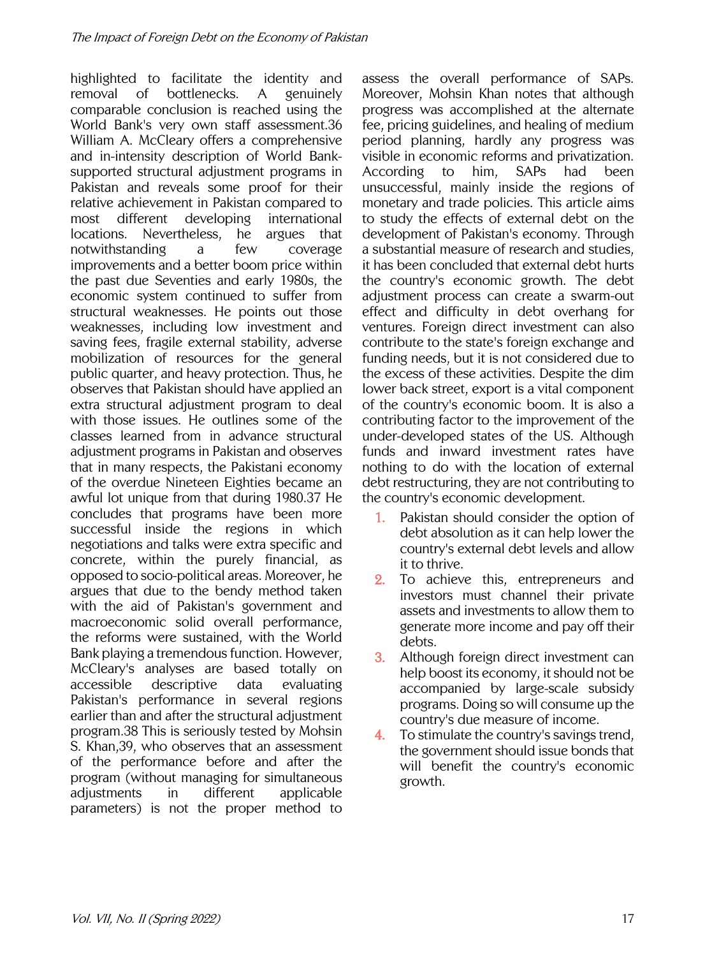highlighted to facilitate the identity and removal of bottlenecks. A genuinely comparable conclusion is reached using the World Bank's very own staff assessment.36 William A. McCleary offers a comprehensive and in-intensity description of World Banksupported structural adjustment programs in Pakistan and reveals some proof for their relative achievement in Pakistan compared to most different developing international locations. Nevertheless, he argues that notwithstanding a few coverage improvements and a better boom price within the past due Seventies and early 1980s, the economic system continued to suffer from structural weaknesses. He points out those weaknesses, including low investment and saving fees, fragile external stability, adverse mobilization of resources for the general public quarter, and heavy protection. Thus, he observes that Pakistan should have applied an extra structural adjustment program to deal with those issues. He outlines some of the classes learned from in advance structural adjustment programs in Pakistan and observes that in many respects, the Pakistani economy of the overdue Nineteen Eighties became an awful lot unique from that during 1980.37 He concludes that programs have been more successful inside the regions in which negotiations and talks were extra specific and concrete, within the purely financial, as opposed to socio-political areas. Moreover, he argues that due to the bendy method taken with the aid of Pakistan's government and macroeconomic solid overall performance, the reforms were sustained, with the World Bank playing a tremendous function. However, McCleary's analyses are based totally on accessible descriptive data evaluating Pakistan's performance in several regions earlier than and after the structural adjustment program.38 This is seriously tested by Mohsin S. Khan,39, who observes that an assessment of the performance before and after the program (without managing for simultaneous adjustments in different applicable parameters) is not the proper method to

assess the overall performance of SAPs. Moreover, Mohsin Khan notes that although progress was accomplished at the alternate fee, pricing guidelines, and healing of medium period planning, hardly any progress was visible in economic reforms and privatization. According to him, SAPs had been unsuccessful, mainly inside the regions of monetary and trade policies. This article aims to study the effects of external debt on the development of Pakistan's economy. Through a substantial measure of research and studies, it has been concluded that external debt hurts the country's economic growth. The debt adjustment process can create a swarm-out effect and difficulty in debt overhang for ventures. Foreign direct investment can also contribute to the state's foreign exchange and funding needs, but it is not considered due to the excess of these activities. Despite the dim lower back street, export is a vital component of the country's economic boom. It is also a contributing factor to the improvement of the under-developed states of the US. Although funds and inward investment rates have nothing to do with the location of external debt restructuring, they are not contributing to the country's economic development.

- 1. Pakistan should consider the option of debt absolution as it can help lower the country's external debt levels and allow it to thrive.
- 2. To achieve this, entrepreneurs and investors must channel their private assets and investments to allow them to generate more income and pay off their debts.
- 3. Although foreign direct investment can help boost its economy, it should not be accompanied by large-scale subsidy programs. Doing so will consume up the country's due measure of income.
- 4. To stimulate the country's savings trend, the government should issue bonds that will benefit the country's economic growth.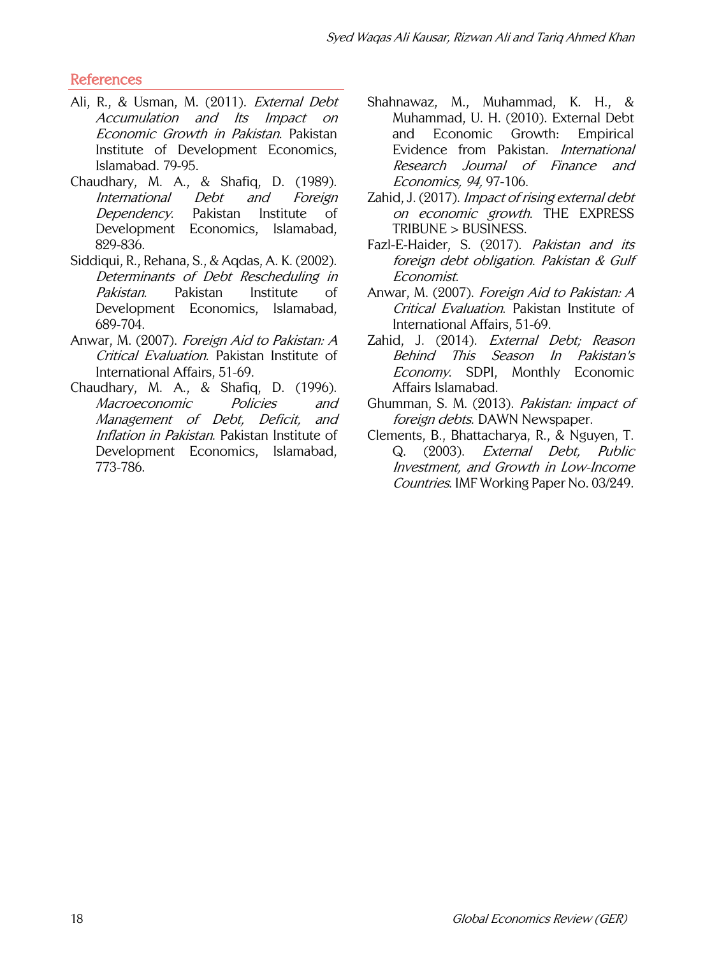#### References

- Ali, R., & Usman, M. (2011). External Debt Accumulation and Its Impact on Economic Growth in Pakistan. Pakistan Institute of Development Economics, Islamabad. 79-95.
- Chaudhary, M. A., & Shafiq, D. (1989). International Debt and Foreign Dependency. Pakistan Institute of Development Economics, Islamabad, 829-836.
- Siddiqui, R., Rehana, S., & Aqdas, A. K. (2002). Determinants of Debt Rescheduling in Pakistan. Pakistan Institute of Development Economics, Islamabad, 689-704.
- Anwar, M. (2007). Foreign Aid to Pakistan: A Critical Evaluation. Pakistan Institute of International Affairs, 51-69.
- Chaudhary, M. A., & Shafiq, D. (1996). Macroeconomic Policies and Management of Debt, Deficit, and Inflation in Pakistan. Pakistan Institute of Development Economics, Islamabad, 773-786.
- Shahnawaz, M., Muhammad, K. H., & Muhammad, U. H. (2010). External Debt and Economic Growth: Empirical Evidence from Pakistan. International Research Journal of Finance and Economics, 94, 97-106.
- Zahid, J. (2017). Impact of rising external debt on economic growth. THE EXPRESS TRIBUNE > BUSINESS.
- Fazl-E-Haider, S. (2017). Pakistan and its foreign debt obligation. Pakistan & Gulf Economist.
- Anwar, M. (2007). Foreign Aid to Pakistan: A Critical Evaluation. Pakistan Institute of International Affairs, 51-69.
- Zahid, J. (2014). External Debt; Reason Behind This Season In Pakistan's Economy. SDPI, Monthly Economic Affairs Islamabad.
- Ghumman, S. M. (2013). Pakistan: impact of foreign debts. DAWN Newspaper.
- Clements, B., Bhattacharya, R., & Nguyen, T. Q. (2003). External Debt, Public Investment, and Growth in Low-Income Countries. IMF Working Paper No. 03/249.